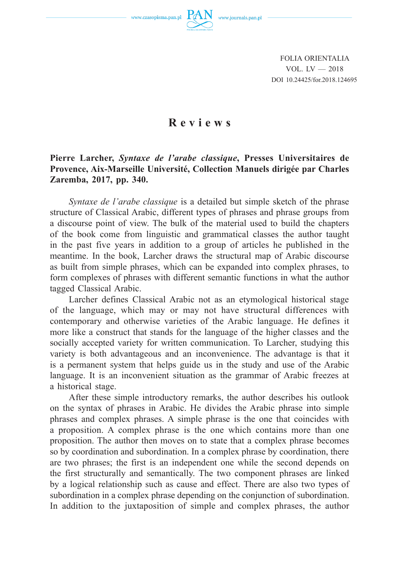www.czasopisma.pan.pl



FOLIA ORIENTALIA VOL. LV — 2018 DOI 10.24425/for.2018.124695

## **Reviews**

## **Pierre Larcher,** *Syntaxe de l'arabe classique***, Presses Universitaires de Provence, Aix-Marseille Université, Collection Manuels dirigée par Charles Zaremba, 2017, pp. 340.**

*Syntaxe de l'arabe classique* is a detailed but simple sketch of the phrase structure of Classical Arabic, different types of phrases and phrase groups from a discourse point of view. The bulk of the material used to build the chapters of the book come from linguistic and grammatical classes the author taught in the past five years in addition to a group of articles he published in the meantime. In the book, Larcher draws the structural map of Arabic discourse as built from simple phrases, which can be expanded into complex phrases, to form complexes of phrases with different semantic functions in what the author tagged Classical Arabic.

Larcher defines Classical Arabic not as an etymological historical stage of the language, which may or may not have structural differences with contemporary and otherwise varieties of the Arabic language. He defines it more like a construct that stands for the language of the higher classes and the socially accepted variety for written communication. To Larcher, studying this variety is both advantageous and an inconvenience. The advantage is that it is a permanent system that helps guide us in the study and use of the Arabic language. It is an inconvenient situation as the grammar of Arabic freezes at a historical stage.

After these simple introductory remarks, the author describes his outlook on the syntax of phrases in Arabic. He divides the Arabic phrase into simple phrases and complex phrases. A simple phrase is the one that coincides with a proposition. A complex phrase is the one which contains more than one proposition. The author then moves on to state that a complex phrase becomes so by coordination and subordination. In a complex phrase by coordination, there are two phrases; the first is an independent one while the second depends on the first structurally and semantically. The two component phrases are linked by a logical relationship such as cause and effect. There are also two types of subordination in a complex phrase depending on the conjunction of subordination. In addition to the juxtaposition of simple and complex phrases, the author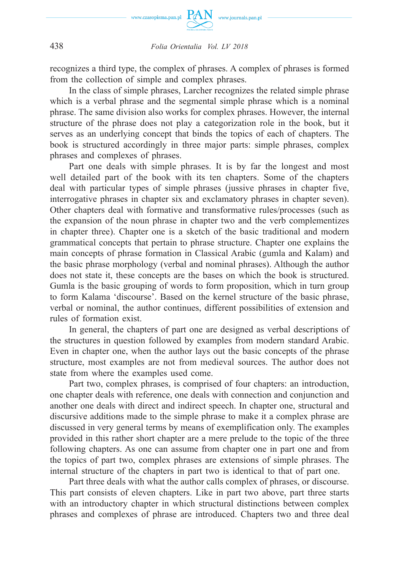

## 438 *Folia Orientalia Vol. LV 2018*

recognizes a third type, the complex of phrases. A complex of phrases is formed from the collection of simple and complex phrases.

In the class of simple phrases, Larcher recognizes the related simple phrase which is a verbal phrase and the segmental simple phrase which is a nominal phrase. The same division also works for complex phrases. However, the internal structure of the phrase does not play a categorization role in the book, but it serves as an underlying concept that binds the topics of each of chapters. The book is structured accordingly in three major parts: simple phrases, complex phrases and complexes of phrases.

Part one deals with simple phrases. It is by far the longest and most well detailed part of the book with its ten chapters. Some of the chapters deal with particular types of simple phrases (jussive phrases in chapter five, interrogative phrases in chapter six and exclamatory phrases in chapter seven). Other chapters deal with formative and transformative rules/processes (such as the expansion of the noun phrase in chapter two and the verb complementizes in chapter three). Chapter one is a sketch of the basic traditional and modern grammatical concepts that pertain to phrase structure. Chapter one explains the main concepts of phrase formation in Classical Arabic (gumla and Kalam) and the basic phrase morphology (verbal and nominal phrases). Although the author does not state it, these concepts are the bases on which the book is structured. Gumla is the basic grouping of words to form proposition, which in turn group to form Kalama 'discourse'. Based on the kernel structure of the basic phrase, verbal or nominal, the author continues, different possibilities of extension and rules of formation exist.

In general, the chapters of part one are designed as verbal descriptions of the structures in question followed by examples from modern standard Arabic. Even in chapter one, when the author lays out the basic concepts of the phrase structure, most examples are not from medieval sources. The author does not state from where the examples used come.

Part two, complex phrases, is comprised of four chapters: an introduction, one chapter deals with reference, one deals with connection and conjunction and another one deals with direct and indirect speech. In chapter one, structural and discursive additions made to the simple phrase to make it a complex phrase are discussed in very general terms by means of exemplification only. The examples provided in this rather short chapter are a mere prelude to the topic of the three following chapters. As one can assume from chapter one in part one and from the topics of part two, complex phrases are extensions of simple phrases. The internal structure of the chapters in part two is identical to that of part one.

Part three deals with what the author calls complex of phrases, or discourse. This part consists of eleven chapters. Like in part two above, part three starts with an introductory chapter in which structural distinctions between complex phrases and complexes of phrase are introduced. Chapters two and three deal